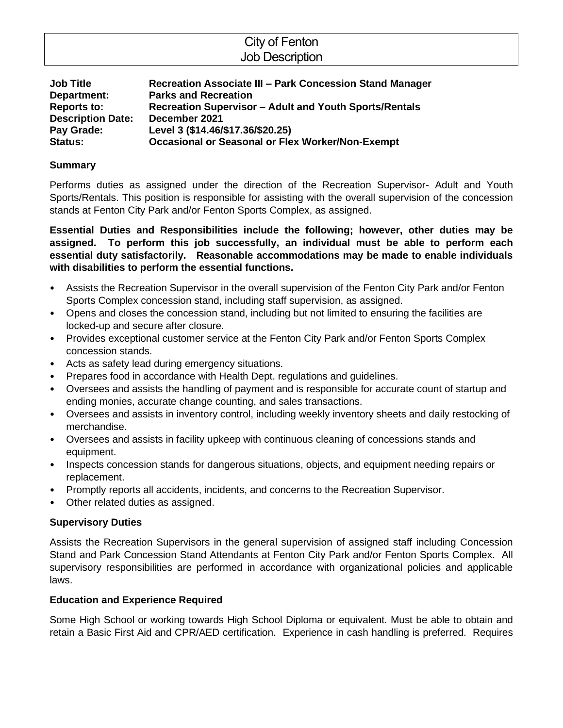# City of Fenton Job Description

| <b>Job Title</b>         | Recreation Associate III - Park Concession Stand Manager      |
|--------------------------|---------------------------------------------------------------|
| Department:              | <b>Parks and Recreation</b>                                   |
| <b>Reports to:</b>       | <b>Recreation Supervisor – Adult and Youth Sports/Rentals</b> |
| <b>Description Date:</b> | December 2021                                                 |
| Pay Grade:               | Level 3 (\$14.46/\$17.36/\$20.25)                             |
| <b>Status:</b>           | <b>Occasional or Seasonal or Flex Worker/Non-Exempt</b>       |

#### **Summary**

Performs duties as assigned under the direction of the Recreation Supervisor- Adult and Youth Sports/Rentals. This position is responsible for assisting with the overall supervision of the concession stands at Fenton City Park and/or Fenton Sports Complex, as assigned.

**Essential Duties and Responsibilities include the following; however, other duties may be assigned. To perform this job successfully, an individual must be able to perform each essential duty satisfactorily. Reasonable accommodations may be made to enable individuals with disabilities to perform the essential functions.**

- Assists the Recreation Supervisor in the overall supervision of the Fenton City Park and/or Fenton Sports Complex concession stand, including staff supervision, as assigned.
- Opens and closes the concession stand, including but not limited to ensuring the facilities are locked-up and secure after closure.
- Provides exceptional customer service at the Fenton City Park and/or Fenton Sports Complex concession stands.
- Acts as safety lead during emergency situations.
- Prepares food in accordance with Health Dept. regulations and guidelines.
- Oversees and assists the handling of payment and is responsible for accurate count of startup and ending monies, accurate change counting, and sales transactions.
- Oversees and assists in inventory control, including weekly inventory sheets and daily restocking of merchandise.
- Oversees and assists in facility upkeep with continuous cleaning of concessions stands and equipment.
- Inspects concession stands for dangerous situations, objects, and equipment needing repairs or replacement.
- Promptly reports all accidents, incidents, and concerns to the Recreation Supervisor.
- Other related duties as assigned.

#### **Supervisory Duties**

Assists the Recreation Supervisors in the general supervision of assigned staff including Concession Stand and Park Concession Stand Attendants at Fenton City Park and/or Fenton Sports Complex. All supervisory responsibilities are performed in accordance with organizational policies and applicable laws.

#### **Education and Experience Required**

Some High School or working towards High School Diploma or equivalent. Must be able to obtain and retain a Basic First Aid and CPR/AED certification. Experience in cash handling is preferred. Requires